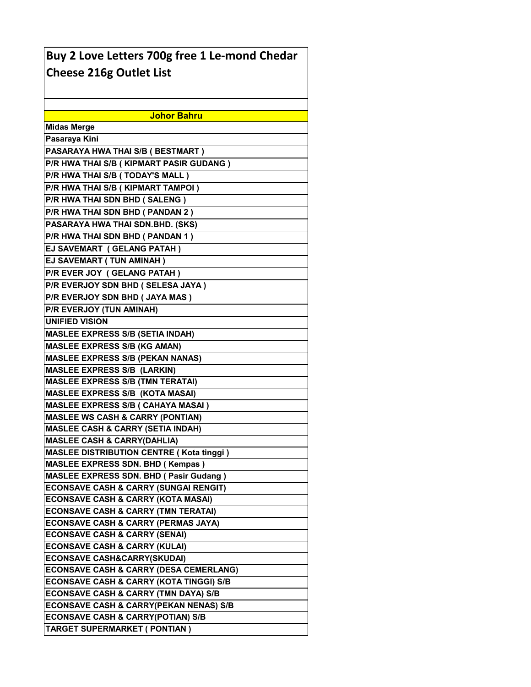| Buy 2 Love Letters 700g free 1 Le-mond Chedar      |
|----------------------------------------------------|
| <b>Cheese 216g Outlet List</b>                     |
|                                                    |
|                                                    |
|                                                    |
| <b>Johor Bahru</b>                                 |
| <b>Midas Merge</b>                                 |
| Pasaraya Kini                                      |
| PASARAYA HWA THAI S/B ( BESTMART )                 |
| P/R HWA THAI S/B ( KIPMART PASIR GUDANG )          |
| P/R HWA THAI S/B ( TODAY'S MALL )                  |
| P/R HWA THAI S/B (KIPMART TAMPOI)                  |
| P/R HWA THAI SDN BHD (SALENG)                      |
| P/R HWA THAI SDN BHD ( PANDAN 2 )                  |
| PASARAYA HWA THAI SDN.BHD. (SKS)                   |
| P/R HWA THAI SDN BHD (PANDAN 1)                    |
| EJ SAVEMART (GELANG PATAH)                         |
| EJ SAVEMART (TUN AMINAH)                           |
| P/R EVER JOY (GELANG PATAH)                        |
| P/R EVERJOY SDN BHD (SELESA JAYA)                  |
| P/R EVERJOY SDN BHD ( JAYA MAS )                   |
| P/R EVERJOY (TUN AMINAH)                           |
| <b>UNIFIED VISION</b>                              |
| <b>MASLEE EXPRESS S/B (SETIA INDAH)</b>            |
| <b>MASLEE EXPRESS S/B (KG AMAN)</b>                |
| <b>MASLEE EXPRESS S/B (PEKAN NANAS)</b>            |
| <b>MASLEE EXPRESS S/B (LARKIN)</b>                 |
| <b>MASLEE EXPRESS S/B (TMN TERATAI)</b>            |
| <b>MASLEE EXPRESS S/B (KOTA MASAI)</b>             |
| <b>MASLEE EXPRESS S/B ( CAHAYA MASAI )</b>         |
| <b>MASLEE WS CASH &amp; CARRY (PONTIAN)</b>        |
| <b>MASLEE CASH &amp; CARRY (SETIA INDAH)</b>       |
| <b>MASLEE CASH &amp; CARRY(DAHLIA)</b>             |
| <b>MASLEE DISTRIBUTION CENTRE (Kota tinggi)</b>    |
| <b>MASLEE EXPRESS SDN. BHD (Kempas)</b>            |
| <b>MASLEE EXPRESS SDN. BHD ( Pasir Gudang )</b>    |
| <b>ECONSAVE CASH &amp; CARRY (SUNGAI RENGIT)</b>   |
| <b>ECONSAVE CASH &amp; CARRY (KOTA MASAI)</b>      |
| <b>ECONSAVE CASH &amp; CARRY (TMN TERATAI)</b>     |
| <b>ECONSAVE CASH &amp; CARRY (PERMAS JAYA)</b>     |
| <b>ECONSAVE CASH &amp; CARRY (SENAI)</b>           |
| <b>ECONSAVE CASH &amp; CARRY (KULAI)</b>           |
| <b>ECONSAVE CASH&amp;CARRY(SKUDAI)</b>             |
| <b>ECONSAVE CASH &amp; CARRY (DESA CEMERLANG)</b>  |
| <b>ECONSAVE CASH &amp; CARRY (KOTA TINGGI) S/B</b> |
| ECONSAVE CASH & CARRY (TMN DAYA) S/B               |
| <b>ECONSAVE CASH &amp; CARRY(PEKAN NENAS) S/B</b>  |
| <b>ECONSAVE CASH &amp; CARRY(POTIAN) S/B</b>       |
| TARGET SUPERMARKET ( PONTIAN )                     |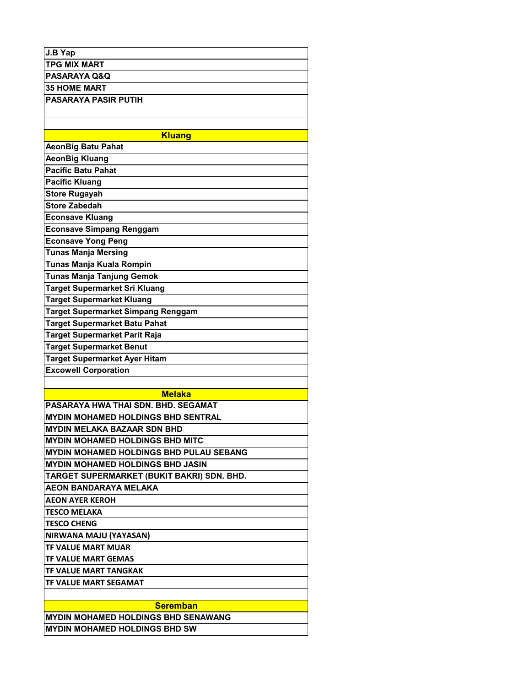| <b>TPG MIX MART</b><br>PASARAYA Q&Q<br>35 HOME MART<br>PASARAYA PASIR PUTIH<br><b>Kluang</b><br><b>AeonBig Batu Pahat</b><br><b>AeonBig Kluang</b><br><b>Pacific Batu Pahat</b><br><b>Pacific Kluang</b><br><b>Store Rugayah</b><br>Store Zabedah<br><b>Econsave Kluang</b><br><b>Econsave Simpang Renggam</b><br><b>Econsave Yong Peng</b><br><b>Tunas Manja Mersing</b><br>Tunas Manja Kuala Rompin<br>Tunas Manja Tanjung Gemok<br>Target Supermarket Sri Kluang<br><b>Target Supermarket Kluang</b><br><b>Target Supermarket Simpang Renggam</b><br>Target Supermarket Batu Pahat<br>Target Supermarket Parit Raja<br><b>Target Supermarket Benut</b><br><b>Target Supermarket Ayer Hitam</b><br><b>Excowell Corporation</b><br><b>Melaka</b><br>PASARAYA HWA THAI SDN. BHD. SEGAMAT<br>MYDIN MOHAMED HOLDINGS BHD SENTRAL<br><b>MYDIN MELAKA BAZAAR SDN BHD</b><br><b>MYDIN MOHAMED HOLDINGS BHD PULAU SEBANG</b><br><b>MYDIN MOHAMED HOLDINGS BHD JASIN</b><br><b>AEON BANDARAYA MELAKA</b><br><b>AEON AYER KEROH</b><br><b>TESCO MELAKA</b><br>TESCO CHENG<br>NIRWANA MAJU (YAYASAN)<br>TF VALUE MART GEMAS<br>TF VALUE MART TANGKAK<br><b>Seremban</b><br><b>MYDIN MOHAMED HOLDINGS BHD SW</b> | J.B Yap                                    |
|--------------------------------------------------------------------------------------------------------------------------------------------------------------------------------------------------------------------------------------------------------------------------------------------------------------------------------------------------------------------------------------------------------------------------------------------------------------------------------------------------------------------------------------------------------------------------------------------------------------------------------------------------------------------------------------------------------------------------------------------------------------------------------------------------------------------------------------------------------------------------------------------------------------------------------------------------------------------------------------------------------------------------------------------------------------------------------------------------------------------------------------------------------------------------------------------------------|--------------------------------------------|
|                                                                                                                                                                                                                                                                                                                                                                                                                                                                                                                                                                                                                                                                                                                                                                                                                                                                                                                                                                                                                                                                                                                                                                                                        |                                            |
|                                                                                                                                                                                                                                                                                                                                                                                                                                                                                                                                                                                                                                                                                                                                                                                                                                                                                                                                                                                                                                                                                                                                                                                                        |                                            |
|                                                                                                                                                                                                                                                                                                                                                                                                                                                                                                                                                                                                                                                                                                                                                                                                                                                                                                                                                                                                                                                                                                                                                                                                        |                                            |
|                                                                                                                                                                                                                                                                                                                                                                                                                                                                                                                                                                                                                                                                                                                                                                                                                                                                                                                                                                                                                                                                                                                                                                                                        |                                            |
|                                                                                                                                                                                                                                                                                                                                                                                                                                                                                                                                                                                                                                                                                                                                                                                                                                                                                                                                                                                                                                                                                                                                                                                                        |                                            |
|                                                                                                                                                                                                                                                                                                                                                                                                                                                                                                                                                                                                                                                                                                                                                                                                                                                                                                                                                                                                                                                                                                                                                                                                        |                                            |
|                                                                                                                                                                                                                                                                                                                                                                                                                                                                                                                                                                                                                                                                                                                                                                                                                                                                                                                                                                                                                                                                                                                                                                                                        |                                            |
|                                                                                                                                                                                                                                                                                                                                                                                                                                                                                                                                                                                                                                                                                                                                                                                                                                                                                                                                                                                                                                                                                                                                                                                                        |                                            |
|                                                                                                                                                                                                                                                                                                                                                                                                                                                                                                                                                                                                                                                                                                                                                                                                                                                                                                                                                                                                                                                                                                                                                                                                        |                                            |
|                                                                                                                                                                                                                                                                                                                                                                                                                                                                                                                                                                                                                                                                                                                                                                                                                                                                                                                                                                                                                                                                                                                                                                                                        |                                            |
|                                                                                                                                                                                                                                                                                                                                                                                                                                                                                                                                                                                                                                                                                                                                                                                                                                                                                                                                                                                                                                                                                                                                                                                                        |                                            |
|                                                                                                                                                                                                                                                                                                                                                                                                                                                                                                                                                                                                                                                                                                                                                                                                                                                                                                                                                                                                                                                                                                                                                                                                        |                                            |
|                                                                                                                                                                                                                                                                                                                                                                                                                                                                                                                                                                                                                                                                                                                                                                                                                                                                                                                                                                                                                                                                                                                                                                                                        |                                            |
|                                                                                                                                                                                                                                                                                                                                                                                                                                                                                                                                                                                                                                                                                                                                                                                                                                                                                                                                                                                                                                                                                                                                                                                                        |                                            |
|                                                                                                                                                                                                                                                                                                                                                                                                                                                                                                                                                                                                                                                                                                                                                                                                                                                                                                                                                                                                                                                                                                                                                                                                        |                                            |
|                                                                                                                                                                                                                                                                                                                                                                                                                                                                                                                                                                                                                                                                                                                                                                                                                                                                                                                                                                                                                                                                                                                                                                                                        |                                            |
|                                                                                                                                                                                                                                                                                                                                                                                                                                                                                                                                                                                                                                                                                                                                                                                                                                                                                                                                                                                                                                                                                                                                                                                                        |                                            |
|                                                                                                                                                                                                                                                                                                                                                                                                                                                                                                                                                                                                                                                                                                                                                                                                                                                                                                                                                                                                                                                                                                                                                                                                        |                                            |
|                                                                                                                                                                                                                                                                                                                                                                                                                                                                                                                                                                                                                                                                                                                                                                                                                                                                                                                                                                                                                                                                                                                                                                                                        |                                            |
|                                                                                                                                                                                                                                                                                                                                                                                                                                                                                                                                                                                                                                                                                                                                                                                                                                                                                                                                                                                                                                                                                                                                                                                                        |                                            |
|                                                                                                                                                                                                                                                                                                                                                                                                                                                                                                                                                                                                                                                                                                                                                                                                                                                                                                                                                                                                                                                                                                                                                                                                        |                                            |
|                                                                                                                                                                                                                                                                                                                                                                                                                                                                                                                                                                                                                                                                                                                                                                                                                                                                                                                                                                                                                                                                                                                                                                                                        |                                            |
|                                                                                                                                                                                                                                                                                                                                                                                                                                                                                                                                                                                                                                                                                                                                                                                                                                                                                                                                                                                                                                                                                                                                                                                                        |                                            |
|                                                                                                                                                                                                                                                                                                                                                                                                                                                                                                                                                                                                                                                                                                                                                                                                                                                                                                                                                                                                                                                                                                                                                                                                        |                                            |
|                                                                                                                                                                                                                                                                                                                                                                                                                                                                                                                                                                                                                                                                                                                                                                                                                                                                                                                                                                                                                                                                                                                                                                                                        |                                            |
|                                                                                                                                                                                                                                                                                                                                                                                                                                                                                                                                                                                                                                                                                                                                                                                                                                                                                                                                                                                                                                                                                                                                                                                                        |                                            |
|                                                                                                                                                                                                                                                                                                                                                                                                                                                                                                                                                                                                                                                                                                                                                                                                                                                                                                                                                                                                                                                                                                                                                                                                        |                                            |
|                                                                                                                                                                                                                                                                                                                                                                                                                                                                                                                                                                                                                                                                                                                                                                                                                                                                                                                                                                                                                                                                                                                                                                                                        |                                            |
|                                                                                                                                                                                                                                                                                                                                                                                                                                                                                                                                                                                                                                                                                                                                                                                                                                                                                                                                                                                                                                                                                                                                                                                                        |                                            |
|                                                                                                                                                                                                                                                                                                                                                                                                                                                                                                                                                                                                                                                                                                                                                                                                                                                                                                                                                                                                                                                                                                                                                                                                        |                                            |
|                                                                                                                                                                                                                                                                                                                                                                                                                                                                                                                                                                                                                                                                                                                                                                                                                                                                                                                                                                                                                                                                                                                                                                                                        |                                            |
|                                                                                                                                                                                                                                                                                                                                                                                                                                                                                                                                                                                                                                                                                                                                                                                                                                                                                                                                                                                                                                                                                                                                                                                                        |                                            |
|                                                                                                                                                                                                                                                                                                                                                                                                                                                                                                                                                                                                                                                                                                                                                                                                                                                                                                                                                                                                                                                                                                                                                                                                        | <b>MYDIN MOHAMED HOLDINGS BHD MITC</b>     |
|                                                                                                                                                                                                                                                                                                                                                                                                                                                                                                                                                                                                                                                                                                                                                                                                                                                                                                                                                                                                                                                                                                                                                                                                        |                                            |
|                                                                                                                                                                                                                                                                                                                                                                                                                                                                                                                                                                                                                                                                                                                                                                                                                                                                                                                                                                                                                                                                                                                                                                                                        |                                            |
|                                                                                                                                                                                                                                                                                                                                                                                                                                                                                                                                                                                                                                                                                                                                                                                                                                                                                                                                                                                                                                                                                                                                                                                                        | TARGET SUPERMARKET (BUKIT BAKRI) SDN. BHD. |
|                                                                                                                                                                                                                                                                                                                                                                                                                                                                                                                                                                                                                                                                                                                                                                                                                                                                                                                                                                                                                                                                                                                                                                                                        |                                            |
|                                                                                                                                                                                                                                                                                                                                                                                                                                                                                                                                                                                                                                                                                                                                                                                                                                                                                                                                                                                                                                                                                                                                                                                                        |                                            |
|                                                                                                                                                                                                                                                                                                                                                                                                                                                                                                                                                                                                                                                                                                                                                                                                                                                                                                                                                                                                                                                                                                                                                                                                        |                                            |
|                                                                                                                                                                                                                                                                                                                                                                                                                                                                                                                                                                                                                                                                                                                                                                                                                                                                                                                                                                                                                                                                                                                                                                                                        |                                            |
|                                                                                                                                                                                                                                                                                                                                                                                                                                                                                                                                                                                                                                                                                                                                                                                                                                                                                                                                                                                                                                                                                                                                                                                                        |                                            |
|                                                                                                                                                                                                                                                                                                                                                                                                                                                                                                                                                                                                                                                                                                                                                                                                                                                                                                                                                                                                                                                                                                                                                                                                        | <b>TF VALUE MART MUAR</b>                  |
|                                                                                                                                                                                                                                                                                                                                                                                                                                                                                                                                                                                                                                                                                                                                                                                                                                                                                                                                                                                                                                                                                                                                                                                                        |                                            |
|                                                                                                                                                                                                                                                                                                                                                                                                                                                                                                                                                                                                                                                                                                                                                                                                                                                                                                                                                                                                                                                                                                                                                                                                        |                                            |
|                                                                                                                                                                                                                                                                                                                                                                                                                                                                                                                                                                                                                                                                                                                                                                                                                                                                                                                                                                                                                                                                                                                                                                                                        | TF VALUE MART SEGAMAT                      |
|                                                                                                                                                                                                                                                                                                                                                                                                                                                                                                                                                                                                                                                                                                                                                                                                                                                                                                                                                                                                                                                                                                                                                                                                        |                                            |
|                                                                                                                                                                                                                                                                                                                                                                                                                                                                                                                                                                                                                                                                                                                                                                                                                                                                                                                                                                                                                                                                                                                                                                                                        |                                            |
|                                                                                                                                                                                                                                                                                                                                                                                                                                                                                                                                                                                                                                                                                                                                                                                                                                                                                                                                                                                                                                                                                                                                                                                                        | <b>MYDIN MOHAMED HOLDINGS BHD SENAWANG</b> |
|                                                                                                                                                                                                                                                                                                                                                                                                                                                                                                                                                                                                                                                                                                                                                                                                                                                                                                                                                                                                                                                                                                                                                                                                        |                                            |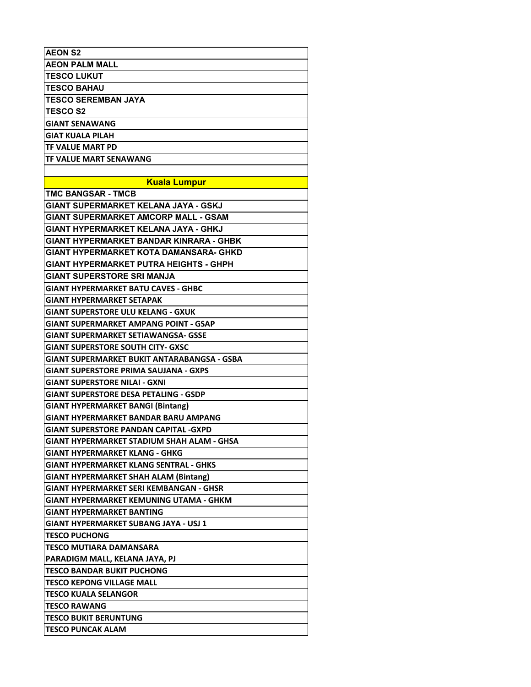| <b>AEON S2</b>                                    |
|---------------------------------------------------|
| <b>AEON PALM MALL</b>                             |
| <b>TESCO LUKUT</b>                                |
| <b>TESCO BAHAU</b>                                |
| <b>TESCO SEREMBAN JAYA</b>                        |
| <b>TESCO S2</b>                                   |
| <b>GIANT SENAWANG</b>                             |
| GIAT KUALA PILAH                                  |
| TF VALUE MART PD                                  |
| TF VALUE MART SENAWANG                            |
|                                                   |
| <b>Kuala Lumpur</b>                               |
| <b>TMC BANGSAR - TMCB</b>                         |
| GIANT SUPERMARKET KELANA JAYA - GSKJ              |
| <b>GIANT SUPERMARKET AMCORP MALL - GSAM</b>       |
| GIANT HYPERMARKET KELANA JAYA - GHKJ              |
| <b>GIANT HYPERMARKET BANDAR KINRARA - GHBK</b>    |
| <b>GIANT HYPERMARKET KOTA DAMANSARA- GHKD</b>     |
| <b>GIANT HYPERMARKET PUTRA HEIGHTS - GHPH</b>     |
| <b>GIANT SUPERSTORE SRI MANJA</b>                 |
| <b>GIANT HYPERMARKET BATU CAVES - GHBC</b>        |
| <b>GIANT HYPERMARKET SETAPAK</b>                  |
| <b>GIANT SUPERSTORE ULU KELANG - GXUK</b>         |
| <b>GIANT SUPERMARKET AMPANG POINT - GSAP</b>      |
| <b>GIANT SUPERMARKET SETIAWANGSA- GSSE</b>        |
| <b>GIANT SUPERSTORE SOUTH CITY- GXSC</b>          |
| GIANT SUPERMARKET BUKIT ANTARABANGSA - GSBA       |
| <b>GIANT SUPERSTORE PRIMA SAUJANA - GXPS</b>      |
| <b>GIANT SUPERSTORE NILAI - GXNI</b>              |
| <b>GIANT SUPERSTORE DESA PETALING - GSDP</b>      |
| <b>GIANT HYPERMARKET BANGI (Bintang)</b>          |
| GIANT HYPERMARKET BANDAR BARU AMPANG              |
| <b>GIANT SUPERSTORE PANDAN CAPITAL -GXPD</b>      |
| <b>GIANT HYPERMARKET STADIUM SHAH ALAM - GHSA</b> |
| GIANT HYPERMARKET KLANG - GHKG                    |
| <b>GIANT HYPERMARKET KLANG SENTRAL - GHKS</b>     |
| <b>GIANT HYPERMARKET SHAH ALAM (Bintang)</b>      |
| GIANT HYPERMARKET SERI KEMBANGAN - GHSR           |
| <b>GIANT HYPERMARKET KEMUNING UTAMA - GHKM</b>    |
| <b>GIANT HYPERMARKET BANTING</b>                  |
| GIANT HYPERMARKET SUBANG JAYA - USJ 1             |
| <b>TESCO PUCHONG</b>                              |
| TESCO MUTIARA DAMANSARA                           |
| PARADIGM MALL, KELANA JAYA, PJ                    |
| <b>TESCO BANDAR BUKIT PUCHONG</b>                 |
| <b>TESCO KEPONG VILLAGE MALL</b>                  |
| <b>TESCO KUALA SELANGOR</b>                       |
| <b>TESCO RAWANG</b>                               |
| <b>TESCO BUKIT BERUNTUNG</b>                      |
|                                                   |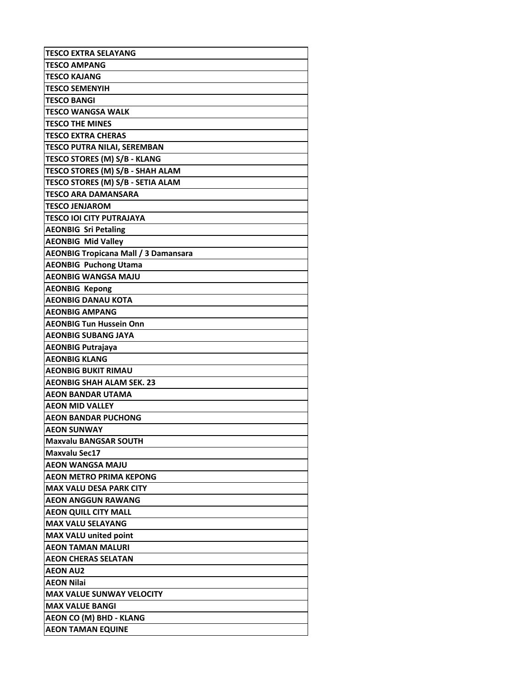| TESCO EXTRA SELAYANG                        |
|---------------------------------------------|
| TESCO AMPANG                                |
| TESCO KAJANG                                |
| <b>TESCO SEMENYIH</b>                       |
| <b>TESCO BANGI</b>                          |
| TESCO WANGSA WALK                           |
| <b>TESCO THE MINES</b>                      |
| TESCO EXTRA CHERAS                          |
| <b>TESCO PUTRA NILAI, SEREMBAN</b>          |
| <b>TESCO STORES (M) S/B - KLANG</b>         |
| TESCO STORES (M) S/B - SHAH ALAM            |
| TESCO STORES (M) S/B - SETIA ALAM           |
| TESCO ARA DAMANSARA                         |
| <b>TESCO JENJAROM</b>                       |
| <b>TESCO IOI CITY PUTRAJAYA</b>             |
| <b>AEONBIG Sri Petaling</b>                 |
| <b>AEONBIG Mid Valley</b>                   |
| <b>AEONBIG Tropicana Mall / 3 Damansara</b> |
| <b>AEONBIG Puchong Utama</b>                |
| <b>AEONBIG WANGSA MAJU</b>                  |
| <b>AEONBIG Kepong</b>                       |
| <b>AEONBIG DANAU KOTA</b>                   |
| <b>AEONBIG AMPANG</b>                       |
| <b>AEONBIG Tun Hussein Onn</b>              |
| <b>AEONBIG SUBANG JAYA</b>                  |
|                                             |
| <b>AEONBIG Putrajaya</b>                    |
| <b>AEONBIG KLANG</b>                        |
| <b>AEONBIG BUKIT RIMAU</b>                  |
| <b>AEONBIG SHAH ALAM SEK. 23</b>            |
| AEON BANDAR UTAMA                           |
| <b>AEON MID VALLEY</b>                      |
| <b>AEON BANDAR PUCHONG</b>                  |
| <b>AEON SUNWAY</b>                          |
| <b>Maxvalu BANGSAR SOUTH</b>                |
| <b>Maxvalu Sec17</b>                        |
| AEON WANGSA MAJU                            |
| <b>AEON METRO PRIMA KEPONG</b>              |
| <b>MAX VALU DESA PARK CITY</b>              |
| <b>AEON ANGGUN RAWANG</b>                   |
| <b>AEON QUILL CITY MALL</b>                 |
| <b>MAX VALU SELAYANG</b>                    |
| <b>MAX VALU united point</b>                |
| <b>AEON TAMAN MALURI</b>                    |
| <b>AEON CHERAS SELATAN</b>                  |
| <b>AEON AU2</b>                             |
| <b>AEON Nilai</b>                           |
| <b>MAX VALUE SUNWAY VELOCITY</b>            |
| <b>MAX VALUE BANGI</b>                      |
| <b>AEON CO (M) BHD - KLANG</b>              |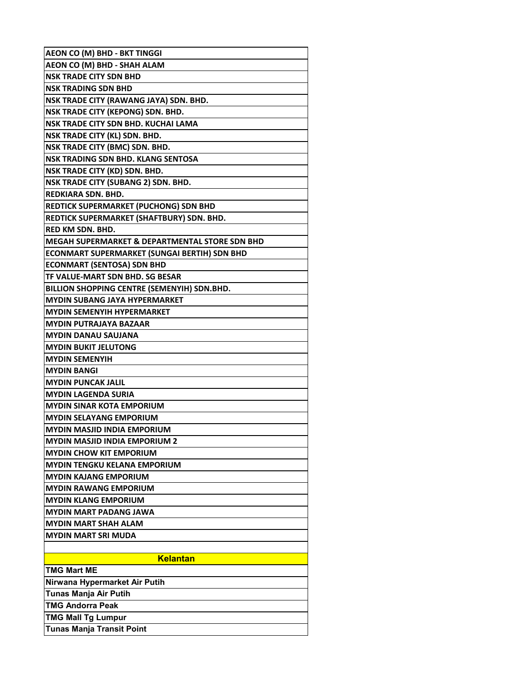| <b>AEON CO (M) BHD - BKT TINGGI</b>            |
|------------------------------------------------|
| AEON CO (M) BHD - SHAH ALAM                    |
| <b>NSK TRADE CITY SDN BHD</b>                  |
| <b>NSK TRADING SDN BHD</b>                     |
| NSK TRADE CITY (RAWANG JAYA) SDN. BHD.         |
| NSK TRADE CITY (KEPONG) SDN. BHD.              |
| NSK TRADE CITY SDN BHD. KUCHAI LAMA            |
| NSK TRADE CITY (KL) SDN. BHD.                  |
| NSK TRADE CITY (BMC) SDN. BHD.                 |
| <b>NSK TRADING SDN BHD. KLANG SENTOSA</b>      |
| NSK TRADE CITY (KD) SDN. BHD.                  |
| NSK TRADE CITY (SUBANG 2) SDN. BHD.            |
| REDKIARA SDN. BHD.                             |
| <b>REDTICK SUPERMARKET (PUCHONG) SDN BHD</b>   |
| REDTICK SUPERMARKET (SHAFTBURY) SDN. BHD.      |
| <b>RED KM SDN. BHD.</b>                        |
| MEGAH SUPERMARKET & DEPARTMENTAL STORE SDN BHD |
| ECONMART SUPERMARKET (SUNGAI BERTIH) SDN BHD   |
| <b>ECONMART (SENTOSA) SDN BHD</b>              |
| TF VALUE-MART SDN BHD. SG BESAR                |
| BILLION SHOPPING CENTRE (SEMENYIH) SDN.BHD.    |
| <b>MYDIN SUBANG JAYA HYPERMARKET</b>           |
| <b>MYDIN SEMENYIH HYPERMARKET</b>              |
| <b>MYDIN PUTRAJAYA BAZAAR</b>                  |
| MYDIN DANAU SAUJANA                            |
| <b>MYDIN BUKIT JELUTONG</b>                    |
| <b>MYDIN SEMENYIH</b>                          |
| <b>MYDIN BANGI</b>                             |
| <b>MYDIN PUNCAK JALIL</b>                      |
| <b>MYDIN LAGENDA SURIA</b>                     |
| <b>MYDIN SINAR KOTA EMPORIUM</b>               |
| <b>MYDIN SELAYANG EMPORIUM</b>                 |
| <b>MYDIN MASJID INDIA EMPORIUM</b>             |
| <b>MYDIN MASJID INDIA EMPORIUM 2</b>           |
| <b>MYDIN CHOW KIT EMPORIUM</b>                 |
| MYDIN TENGKU KELANA EMPORIUM                   |
| MYDIN KAJANG EMPORIUM                          |
| <b>MYDIN RAWANG EMPORIUM</b>                   |
| MYDIN KLANG EMPORIUM                           |
| <b>MYDIN MART PADANG JAWA</b>                  |
| <b>MYDIN MART SHAH ALAM</b>                    |
| <b>MYDIN MART SRI MUDA</b>                     |
|                                                |
| <b>Kelantan</b>                                |
| <b>TMG Mart ME</b>                             |
| Nirwana Hypermarket Air Putih                  |
| Tunas Manja Air Putih                          |
| <b>TMG Andorra Peak</b>                        |
| <b>TMG Mall Tg Lumpur</b>                      |
| Tunas Manja Transit Point                      |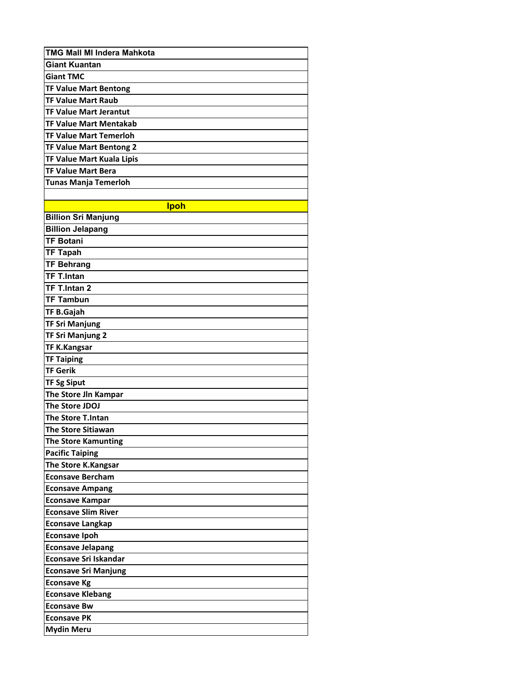| <b>TMG Mall MI Indera Mahkota</b> |
|-----------------------------------|
| <b>Giant Kuantan</b>              |
| <b>Giant TMC</b>                  |
| <b>TF Value Mart Bentong</b>      |
| <b>TF Value Mart Raub</b>         |
| <b>TF Value Mart Jerantut</b>     |
| <b>TF Value Mart Mentakab</b>     |
| <b>TF Value Mart Temerloh</b>     |
| <b>TF Value Mart Bentong 2</b>    |
| TF Value Mart Kuala Lipis         |
| <b>TF Value Mart Bera</b>         |
| <b>Tunas Manja Temerloh</b>       |
|                                   |
| <b>Ipoh</b>                       |
| <b>Billion Sri Manjung</b>        |
| <b>Billion Jelapang</b>           |
| <b>TF Botani</b>                  |
| <b>TF Tapah</b>                   |
| <b>TF Behrang</b>                 |
| <b>TF T.Intan</b>                 |
| TF T.Intan 2                      |
| <b>TF Tambun</b>                  |
| <b>TF B.Gajah</b>                 |
| <b>TF Sri Manjung</b>             |
| <b>TF Sri Manjung 2</b>           |
| <b>TF K.Kangsar</b>               |
| <b>TF Taiping</b>                 |
| <b>TF Gerik</b>                   |
| <b>TF Sg Siput</b>                |
| The Store Jln Kampar              |
| The Store JDOJ                    |
| <b>The Store T.Intan</b>          |
| <b>The Store Sitiawan</b>         |
| <b>The Store Kamunting</b>        |
| <b>Pacific Taiping</b>            |
| The Store K.Kangsar               |
| <b>Econsave Bercham</b>           |
| <b>Econsave Ampang</b>            |
| <b>Econsave Kampar</b>            |
| <b>Econsave Slim River</b>        |
| Econsave Langkap                  |
| <b>Econsave Ipoh</b>              |
| <b>Econsave Jelapang</b>          |
| <b>Econsave Sri Iskandar</b>      |
| <b>Econsave Sri Manjung</b>       |
| <b>Econsave Kg</b>                |
| <b>Econsave Klebang</b>           |
| Econsave Bw                       |
| Econsave PK                       |
| <b>Mydin Meru</b>                 |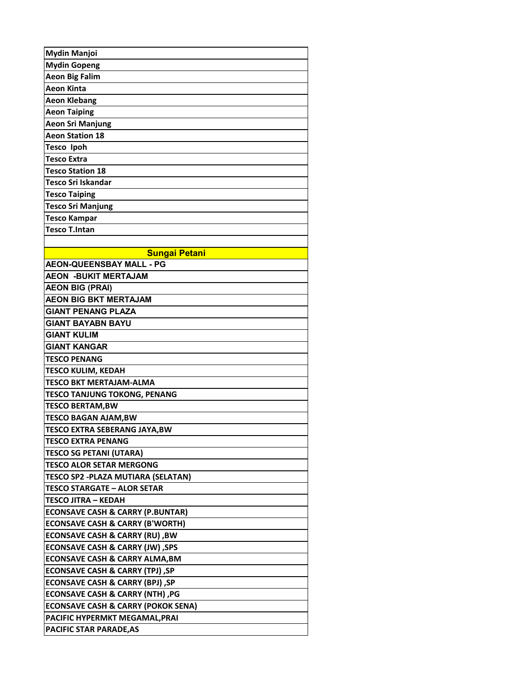| <b>Mydin Manjoi</b>                           |
|-----------------------------------------------|
| <b>Mydin Gopeng</b>                           |
| <b>Aeon Big Falim</b>                         |
| <b>Aeon Kinta</b>                             |
| <b>Aeon Klebang</b>                           |
| <b>Aeon Taiping</b>                           |
| <b>Aeon Sri Manjung</b>                       |
| <b>Aeon Station 18</b>                        |
| <b>Tesco Ipoh</b>                             |
| <b>Tesco Extra</b>                            |
| <b>Tesco Station 18</b>                       |
| Tesco Sri Iskandar                            |
| <b>Tesco Taiping</b>                          |
| <b>Tesco Sri Manjung</b>                      |
| <b>Tesco Kampar</b>                           |
| <b>Tesco T.Intan</b>                          |
|                                               |
| <b>Sungai Petani</b>                          |
| <b>AEON-QUEENSBAY MALL - PG</b>               |
| <b>AEON -BUKIT MERTAJAM</b>                   |
| <b>AEON BIG (PRAI)</b>                        |
| <b>AEON BIG BKT MERTAJAM</b>                  |
| <b>GIANT PENANG PLAZA</b>                     |
| <b>GIANT BAYABN BAYU</b>                      |
| <b>GIANT KULIM</b>                            |
| <b>GIANT KANGAR</b>                           |
| <b>TESCO PENANG</b>                           |
| TESCO KULIM, KEDAH                            |
| TESCO BKT MERTAJAM-ALMA                       |
| TESCO TANJUNG TOKONG, PENANG                  |
| <b>TESCO BERTAM,BW</b>                        |
| TESCO BAGAN AJAM,BW                           |
| <b>TESCO EXTRA SEBERANG JAYA,BW</b>           |
| TESCO EXTRA PENANG                            |
| TESCO SG PETANI (UTARA)                       |
| <b>TESCO ALOR SETAR MERGONG</b>               |
| TESCO SP2 -PLAZA MUTIARA (SELATAN)            |
| <b>TESCO STARGATE - ALOR SETAR</b>            |
| TESCO JITRA – KEDAH                           |
| <b>ECONSAVE CASH &amp; CARRY (P.BUNTAR)</b>   |
| <b>ECONSAVE CASH &amp; CARRY (B'WORTH)</b>    |
| <b>ECONSAVE CASH &amp; CARRY (RU), BW</b>     |
| <b>ECONSAVE CASH &amp; CARRY (JW), SPS</b>    |
| <b>ECONSAVE CASH &amp; CARRY ALMA,BM</b>      |
| ECONSAVE CASH & CARRY (TPJ) ,SP               |
| ECONSAVE CASH & CARRY (BPJ), SP               |
| ECONSAVE CASH & CARRY (NTH) ,PG               |
| <b>ECONSAVE CASH &amp; CARRY (POKOK SENA)</b> |
| PACIFIC HYPERMKT MEGAMAL, PRAI                |
| PACIFIC STAR PARADE, AS                       |
|                                               |